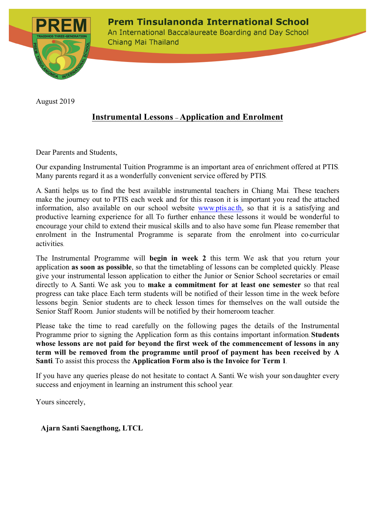**Prem Tinsulanonda International School** 



An International Baccalaureate Boarding and Day School Chiang Mai Thailand

August 2019

# **Instrumental Lessons – Application and Enrolment**

Dear Parents and Students,

Our expanding Instrumental Tuition Programme is an important area of enrichment offered at PTIS. Many parents regard it as a wonderfully convenient service offered by PTIS.

A. Santi helps us to find the best available instrumental teachers in Chiang Mai. These teachers make the journey out to PTIS each week and for this reason it is important you read the attached information, also available on our school website www.ptis.ac.th, so that it is a satisfying and productive learning experience for all. To further enhance these lessons it would be wonderful to encourage your child to extend their musical skills and to also have some fun. Please remember that enrolment in the Instrumental Programme is separate from the enrolment into co-curricular activities.

The Instrumental Programme will **begin in week 2** this term. We ask that you return your application **as soon as possible**, so that the timetabling of lessons can be completed quickly. Please give your instrumental lesson application to either the Junior or Senior School secretaries or email directly to A. Santi. We ask you to **make a commitment for at least one semester** so that real progress can take place. Each term students will be notified of their lesson time in the week before lessons begin. Senior students are to check lesson times for themselves on the wall outside the Senior Staff Room. Junior students will be notified by their homeroom teacher.

Please take the time to read carefully on the following pages the details of the Instrumental Programme prior to signing the Application form as this contains important information. **Students whose lessons are not paid for beyond the first week of the commencement of lessons in any term will be removed from the programme until proof of payment has been received by A Santi**. To assist this process the **Application Form also is the Invoice for Term 1**.

If you have any queries please do not hesitate to contact A. Santi. We wish your son/daughter every success and enjoyment in learning an instrument this school year.

Yours sincerely,

 **Ajarn Santi Saengthong, LTCL**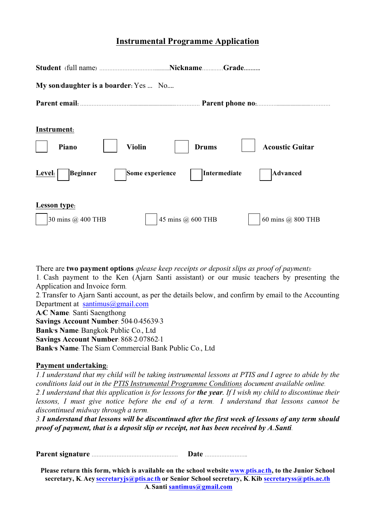# **Instrumental Programme Application**

| My son/daughter is a boarder: Yes  No                                                 |                                                                           |
|---------------------------------------------------------------------------------------|---------------------------------------------------------------------------|
|                                                                                       |                                                                           |
| Instrument:<br><b>Violin</b><br>Piano<br>Level:<br><b>Beginner</b><br>Some experience | <b>Acoustic Guitar</b><br><b>Drums</b><br>Intermediate<br><b>Advanced</b> |
| <b>Lesson</b> type:<br>45 mins @ 600 THB<br>30 mins @ 400 THB<br>60 mins @ 800 THB    |                                                                           |

There are **two payment options** *(please keep receipts or deposit slips as proof of payment):*

1. Cash payment to the Ken (Ajarn Santi assistant) or our music teachers by presenting the Application and Invoice form.

2. Transfer to Ajarn Santi account, as per the details below, and confirm by email to the Accounting Department at santimus@gmail.com

**A/C Name**: Santi Saengthong

**Savings Account Number**: 504-0-45639-3

**Bank's Name**: Bangkok Public Co., Ltd

**Savings Account Number**: 868-2-07862-1

**Bank's Name**: The Siam Commercial Bank Public Co., Ltd

## **Payment undertaking:**

*1. I understand that my child will be taking instrumental lessons at PTIS and I agree to abide by the conditions laid out in the PTIS Instrumental Programme Conditions document available online.*

*2. I understand that this application is for lessons for the year. If I wish my child to discontinue their lessons, I must give notice before the end of a term. I understand that lessons cannot be discontinued midway through a term.*

*3. I understand that lessons will be discontinued after the first week of lessons of any term should proof of payment, that is a deposit slip or receipt, not has been received by A. Santi.*

**Parent signature** ……………………………………………. **Date** ……………………..

**Please return this form, which is available on the school website www.ptis.ac.th, to the Junior School secretary, K. Aey secretaryjs@ptis.ac.th or Senior School secretary, K. Kib secretaryss@ptis.ac.th A. Santi santimus@gmail.com**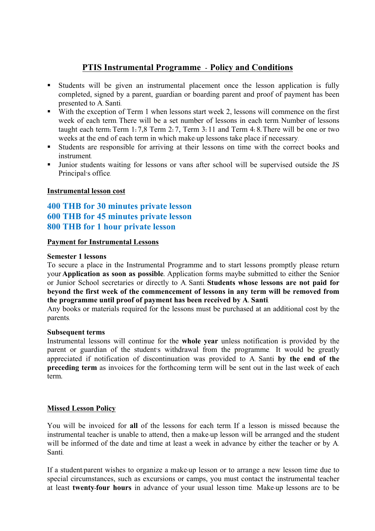## **PTIS Instrumental Programme - Policy and Conditions**

- § Students will be given an instrumental placement once the lesson application is fully completed, signed by a parent, guardian or boarding parent and proof of payment has been presented to A. Santi.
- With the exception of Term 1 when lessons start week 2, lessons will commence on the first week of each term. There will be a set number of lessons in each term. Number of lessons taught each term**:** Term 1**:** 7,8 Term 2**:** 7, Term 3**:** 11 and Term 4**:** 8**.** There will be one or two weeks at the end of each term in which make-up lessons take place if necessary.
- § Students are responsible for arriving at their lessons on time with the correct books and instrument.
- § Junior students waiting for lessons or vans after school will be supervised outside the JS Principal's office.

## **Instrumental lesson cost**

## **400 THB for 30 minutes private lesson 600 THB for 45 minutes private lesson <sup>800</sup> THB for 1 hour private lesson**

## **Payment for Instrumental Lessons**

#### **Semester 1 lessons**

To secure a place in the Instrumental Programme and to start lessons promptly please return your **Application as soon as possible.** Application forms maybe submitted to either the Senior or Junior School secretaries or directly to A. Santi. **Students whose lessons are not paid for beyond the first week of the commencement of lessons in any term will be removed from the programme until proof of payment has been received by A. Santi**.

Any books or materials required for the lessons must be purchased at an additional cost by the parents.

#### **Subsequent terms**

Instrumental lessons will continue for the **whole year** unless notification is provided by the parent or guardian of the student's withdrawal from the programme. It would be greatly appreciated if notification of discontinuation was provided to A. Santi **by the end of the preceding term** as invoices for the forthcoming term will be sent out in the last week of each term**.**

#### **Missed Lesson Policy**

You will be invoiced for **all** of the lessons for each term. If a lesson is missed because the instrumental teacher is unable to attend, then a make-up lesson will be arranged and the student will be informed of the date and time at least a week in advance by either the teacher or by A. Santi.

If a student/parent wishes to organize a make-up lesson or to arrange a new lesson time due to special circumstances, such as excursions or camps, you must contact the instrumental teacher at least **twenty-four hours** in advance of your usual lesson time. Make-up lessons are to be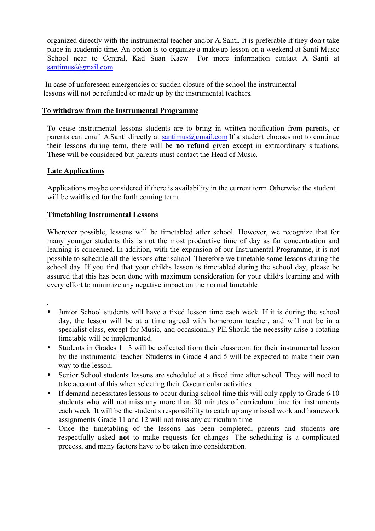organized directly with the instrumental teacher and/or A. Santi. It is preferable if they don't take place in academic time. An option is to organize a make-up lesson on a weekend at Santi Music School near to Central, Kad Suan Kaew. For more information contact A. Santi at santimus@gmail.com

 In case of unforeseen emergencies or sudden closure of the school the instrumental lessons will not be refunded or made up by the instrumental teachers.

#### **To withdraw from the Instrumental Programme**

To cease instrumental lessons students are to bring in written notification from parents, or parents can email A.Santi directly at santimus@gmail.com If a student chooses not to continue their lessons during term, there will be **no refund** given except in extraordinary situations**.**  These will be considered but parents must contact the Head of Music.

#### **Late Applications**

.

Applications maybe considered if there is availability in the current term. Otherwise the student will be waitlisted for the forth coming term.

## **Timetabling Instrumental Lessons**

Wherever possible, lessons will be timetabled after school. However, we recognize that for many younger students this is not the most productive time of day as far concentration and learning is concerned. In addition, with the expansion of our Instrumental Programme, it is not possible to schedule all the lessons after school. Therefore we timetable some lessons during the school day. If you find that your child's lesson is timetabled during the school day, please be assured that this has been done with maximum consideration for your child's learning and with every effort to minimize any negative impact on the normal timetable.

- Junior School students will have a fixed lesson time each week. If it is during the school day, the lesson will be at a time agreed with homeroom teacher, and will not be in a specialist class, except for Music, and occasionally PE. Should the necessity arise a rotating timetable will be implemented.
- Students in Grades 1 3 will be collected from their classroom for their instrumental lesson by the instrumental teacher. Students in Grade 4 and 5 will be expected to make their own way to the lesson.
- Senior School students' lessons are scheduled at a fixed time after school. They will need to take account of this when selecting their Co-curricular activities.
- If demand necessitates lessons to occur during school time this will only apply to Grade 6-10 students who will not miss any more than 30 minutes of curriculum time for instruments each week. It will be the student's responsibility to catch up any missed work and homework assignments. Grade 11 and 12 will not miss any curriculum time.
- Once the timetabling of the lessons has been completed, parents and students are respectfully asked **not** to make requests for changes. The scheduling is a complicated process, and many factors have to be taken into consideration.